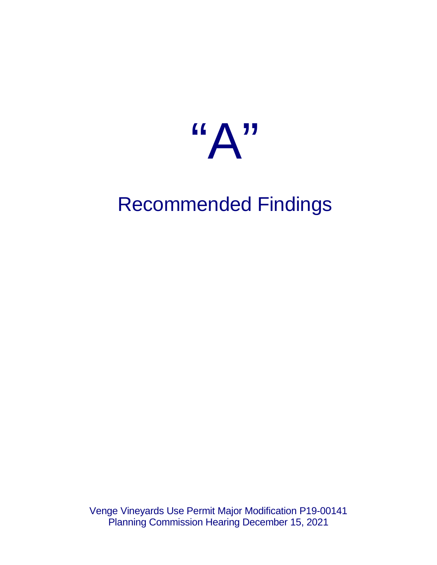

# Recommended Findings

Venge Vineyards Use Permit Major Modification P19-00141 Planning Commission Hearing December 15, 2021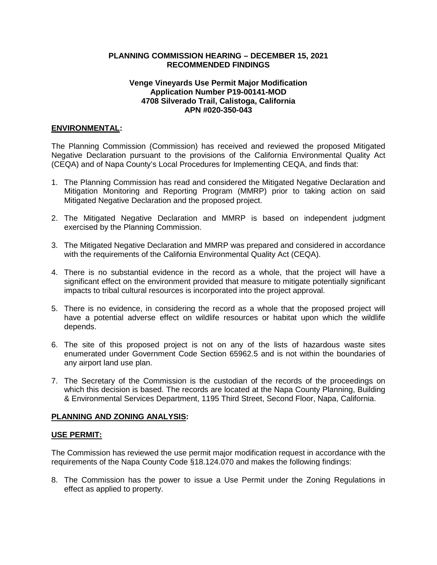## **PLANNING COMMISSION HEARING – DECEMBER 15, 2021 RECOMMENDED FINDINGS**

## **Venge Vineyards Use Permit Major Modification Application Number P19-00141-MOD 4708 Silverado Trail, Calistoga, California APN #020-350-043**

### **ENVIRONMENTAL:**

The Planning Commission (Commission) has received and reviewed the proposed Mitigated Negative Declaration pursuant to the provisions of the California Environmental Quality Act (CEQA) and of Napa County's Local Procedures for Implementing CEQA, and finds that:

- 1. The Planning Commission has read and considered the Mitigated Negative Declaration and Mitigation Monitoring and Reporting Program (MMRP) prior to taking action on said Mitigated Negative Declaration and the proposed project.
- 2. The Mitigated Negative Declaration and MMRP is based on independent judgment exercised by the Planning Commission.
- 3. The Mitigated Negative Declaration and MMRP was prepared and considered in accordance with the requirements of the California Environmental Quality Act (CEQA).
- 4. There is no substantial evidence in the record as a whole, that the project will have a significant effect on the environment provided that measure to mitigate potentially significant impacts to tribal cultural resources is incorporated into the project approval.
- 5. There is no evidence, in considering the record as a whole that the proposed project will have a potential adverse effect on wildlife resources or habitat upon which the wildlife depends.
- 6. The site of this proposed project is not on any of the lists of hazardous waste sites enumerated under Government Code Section 65962.5 and is not within the boundaries of any airport land use plan.
- 7. The Secretary of the Commission is the custodian of the records of the proceedings on which this decision is based. The records are located at the Napa County Planning, Building & Environmental Services Department, 1195 Third Street, Second Floor, Napa, California.

#### **PLANNING AND ZONING ANALYSIS:**

#### **USE PERMIT:**

The Commission has reviewed the use permit major modification request in accordance with the requirements of the Napa County Code §18.124.070 and makes the following findings:

8. The Commission has the power to issue a Use Permit under the Zoning Regulations in effect as applied to property.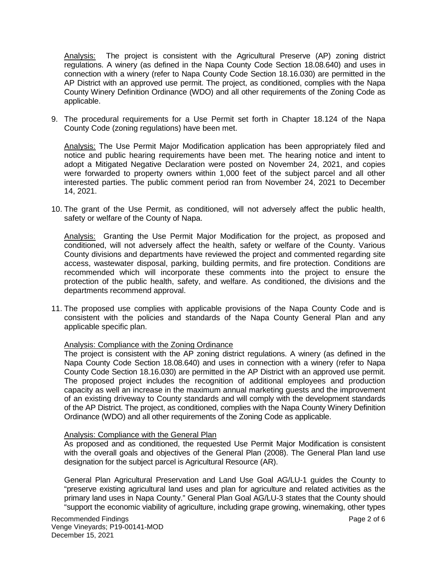Analysis: The project is consistent with the Agricultural Preserve (AP) zoning district regulations. A winery (as defined in the Napa County Code Section 18.08.640) and uses in connection with a winery (refer to Napa County Code Section 18.16.030) are permitted in the AP District with an approved use permit. The project, as conditioned, complies with the Napa County Winery Definition Ordinance (WDO) and all other requirements of the Zoning Code as applicable.

9. The procedural requirements for a Use Permit set forth in Chapter 18.124 of the Napa County Code (zoning regulations) have been met.

Analysis: The Use Permit Major Modification application has been appropriately filed and notice and public hearing requirements have been met. The hearing notice and intent to adopt a Mitigated Negative Declaration were posted on November 24, 2021, and copies were forwarded to property owners within 1,000 feet of the subject parcel and all other interested parties. The public comment period ran from November 24, 2021 to December 14, 2021.

10. The grant of the Use Permit, as conditioned, will not adversely affect the public health, safety or welfare of the County of Napa.

Analysis:Granting the Use Permit Major Modification for the project, as proposed and conditioned, will not adversely affect the health, safety or welfare of the County. Various County divisions and departments have reviewed the project and commented regarding site access, wastewater disposal, parking, building permits, and fire protection. Conditions are recommended which will incorporate these comments into the project to ensure the protection of the public health, safety, and welfare. As conditioned, the divisions and the departments recommend approval.

11. The proposed use complies with applicable provisions of the Napa County Code and is consistent with the policies and standards of the Napa County General Plan and any applicable specific plan.

#### Analysis: Compliance with the Zoning Ordinance

The project is consistent with the AP zoning district regulations. A winery (as defined in the Napa County Code Section 18.08.640) and uses in connection with a winery (refer to Napa County Code Section 18.16.030) are permitted in the AP District with an approved use permit. The proposed project includes the recognition of additional employees and production capacity as well an increase in the maximum annual marketing guests and the improvement of an existing driveway to County standards and will comply with the development standards of the AP District. The project, as conditioned, complies with the Napa County Winery Definition Ordinance (WDO) and all other requirements of the Zoning Code as applicable.

#### Analysis: Compliance with the General Plan

As proposed and as conditioned, the requested Use Permit Major Modification is consistent with the overall goals and objectives of the General Plan (2008). The General Plan land use designation for the subject parcel is Agricultural Resource (AR).

General Plan Agricultural Preservation and Land Use Goal AG/LU-1 guides the County to "preserve existing agricultural land uses and plan for agriculture and related activities as the primary land uses in Napa County." General Plan Goal AG/LU-3 states that the County should "support the economic viability of agriculture, including grape growing, winemaking, other types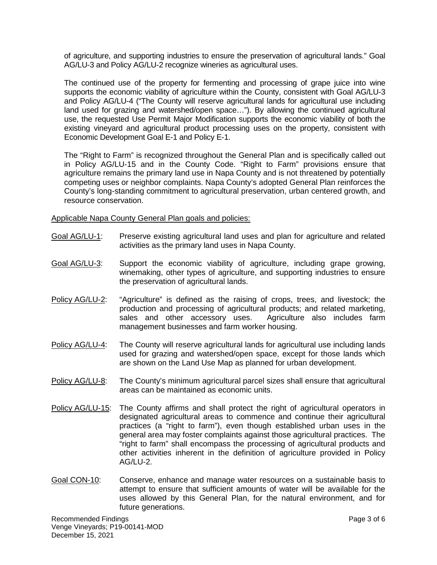of agriculture, and supporting industries to ensure the preservation of agricultural lands." Goal AG/LU-3 and Policy AG/LU-2 recognize wineries as agricultural uses.

The continued use of the property for fermenting and processing of grape juice into wine supports the economic viability of agriculture within the County, consistent with Goal AG/LU-3 and Policy AG/LU-4 ("The County will reserve agricultural lands for agricultural use including land used for grazing and watershed/open space…"). By allowing the continued agricultural use, the requested Use Permit Major Modification supports the economic viability of both the existing vineyard and agricultural product processing uses on the property, consistent with Economic Development Goal E-1 and Policy E-1.

The "Right to Farm" is recognized throughout the General Plan and is specifically called out in Policy AG/LU-15 and in the County Code. "Right to Farm" provisions ensure that agriculture remains the primary land use in Napa County and is not threatened by potentially competing uses or neighbor complaints. Napa County's adopted General Plan reinforces the County's long-standing commitment to agricultural preservation, urban centered growth, and resource conservation.

Applicable Napa County General Plan goals and policies:

- Goal AG/LU-1: Preserve existing agricultural land uses and plan for agriculture and related activities as the primary land uses in Napa County.
- Goal AG/LU-3: Support the economic viability of agriculture, including grape growing, winemaking, other types of agriculture, and supporting industries to ensure the preservation of agricultural lands.
- Policy AG/LU-2: "Agriculture" is defined as the raising of crops, trees, and livestock; the production and processing of agricultural products; and related marketing, sales and other accessory uses. Agriculture also includes farm management businesses and farm worker housing.
- Policy AG/LU-4: The County will reserve agricultural lands for agricultural use including lands used for grazing and watershed/open space, except for those lands which are shown on the Land Use Map as planned for urban development.
- Policy AG/LU-8: The County's minimum agricultural parcel sizes shall ensure that agricultural areas can be maintained as economic units.
- Policy AG/LU-15: The County affirms and shall protect the right of agricultural operators in designated agricultural areas to commence and continue their agricultural practices (a "right to farm"), even though established urban uses in the general area may foster complaints against those agricultural practices. The "right to farm" shall encompass the processing of agricultural products and other activities inherent in the definition of agriculture provided in Policy  $AG/LU-2$ .
- Goal CON-10: Conserve, enhance and manage water resources on a sustainable basis to attempt to ensure that sufficient amounts of water will be available for the uses allowed by this General Plan, for the natural environment, and for future generations.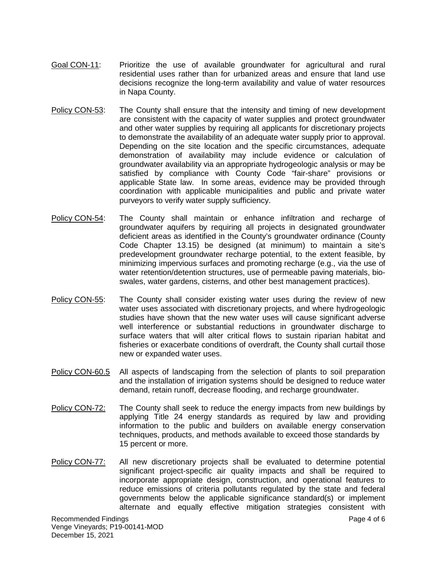- Goal CON-11: Prioritize the use of available groundwater for agricultural and rural residential uses rather than for urbanized areas and ensure that land use decisions recognize the long-term availability and value of water resources in Napa County.
- Policy CON-53: The County shall ensure that the intensity and timing of new development are consistent with the capacity of water supplies and protect groundwater and other water supplies by requiring all applicants for discretionary projects to demonstrate the availability of an adequate water supply prior to approval. Depending on the site location and the specific circumstances, adequate demonstration of availability may include evidence or calculation of groundwater availability via an appropriate hydrogeologic analysis or may be satisfied by compliance with County Code "fair-share" provisions or applicable State law. In some areas, evidence may be provided through coordination with applicable municipalities and public and private water purveyors to verify water supply sufficiency.
- Policy CON-54: The County shall maintain or enhance infiltration and recharge of groundwater aquifers by requiring all projects in designated groundwater deficient areas as identified in the County's groundwater ordinance (County Code Chapter 13.15) be designed (at minimum) to maintain a site's predevelopment groundwater recharge potential, to the extent feasible, by minimizing impervious surfaces and promoting recharge (e.g., via the use of water retention/detention structures, use of permeable paving materials, bioswales, water gardens, cisterns, and other best management practices).
- Policy CON-55: The County shall consider existing water uses during the review of new water uses associated with discretionary projects, and where hydrogeologic studies have shown that the new water uses will cause significant adverse well interference or substantial reductions in groundwater discharge to surface waters that will alter critical flows to sustain riparian habitat and fisheries or exacerbate conditions of overdraft, the County shall curtail those new or expanded water uses.
- Policy CON-60.5 All aspects of landscaping from the selection of plants to soil preparation and the installation of irrigation systems should be designed to reduce water demand, retain runoff, decrease flooding, and recharge groundwater.
- Policy CON-72: The County shall seek to reduce the energy impacts from new buildings by applying Title 24 energy standards as required by law and providing information to the public and builders on available energy conservation techniques, products, and methods available to exceed those standards by 15 percent or more.
- Policy CON-77: All new discretionary projects shall be evaluated to determine potential significant project-specific air quality impacts and shall be required to incorporate appropriate design, construction, and operational features to reduce emissions of criteria pollutants regulated by the state and federal governments below the applicable significance standard(s) or implement alternate and equally effective mitigation strategies consistent with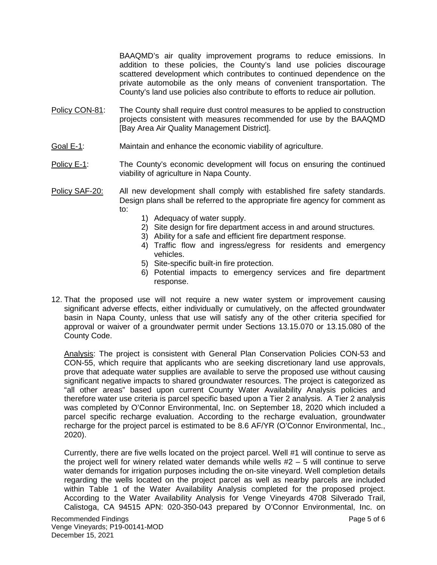BAAQMD's air quality improvement programs to reduce emissions. In addition to these policies, the County's land use policies discourage scattered development which contributes to continued dependence on the private automobile as the only means of convenient transportation. The County's land use policies also contribute to efforts to reduce air pollution.

- Policy CON-81: The County shall require dust control measures to be applied to construction projects consistent with measures recommended for use by the BAAQMD [Bay Area Air Quality Management District].
- Goal E-1: Maintain and enhance the economic viability of agriculture.
- Policy E-1: The County's economic development will focus on ensuring the continued viability of agriculture in Napa County.
- Policy SAF-20: All new development shall comply with established fire safety standards. Design plans shall be referred to the appropriate fire agency for comment as to:
	- 1) Adequacy of water supply.
	- 2) Site design for fire department access in and around structures.
	- 3) Ability for a safe and efficient fire department response.
	- 4) Traffic flow and ingress/egress for residents and emergency vehicles.
	- 5) Site-specific built-in fire protection.
	- 6) Potential impacts to emergency services and fire department response.
- 12. That the proposed use will not require a new water system or improvement causing significant adverse effects, either individually or cumulatively, on the affected groundwater basin in Napa County, unless that use will satisfy any of the other criteria specified for approval or waiver of a groundwater permit under Sections 13.15.070 or 13.15.080 of the County Code.

Analysis: The project is consistent with General Plan Conservation Policies CON-53 and CON-55, which require that applicants who are seeking discretionary land use approvals, prove that adequate water supplies are available to serve the proposed use without causing significant negative impacts to shared groundwater resources. The project is categorized as "all other areas" based upon current County Water Availability Analysis policies and therefore water use criteria is parcel specific based upon a Tier 2 analysis. A Tier 2 analysis was completed by O'Connor Environmental, Inc. on September 18, 2020 which included a parcel specific recharge evaluation. According to the recharge evaluation, groundwater recharge for the project parcel is estimated to be 8.6 AF/YR (O'Connor Environmental, Inc., 2020).

Currently, there are five wells located on the project parcel. Well #1 will continue to serve as the project well for winery related water demands while wells #2 – 5 will continue to serve water demands for irrigation purposes including the on-site vineyard. Well completion details regarding the wells located on the project parcel as well as nearby parcels are included within Table 1 of the Water Availability Analysis completed for the proposed project. According to the Water Availability Analysis for Venge Vineyards 4708 Silverado Trail, Calistoga, CA 94515 APN: 020-350-043 prepared by O'Connor Environmental, Inc. on